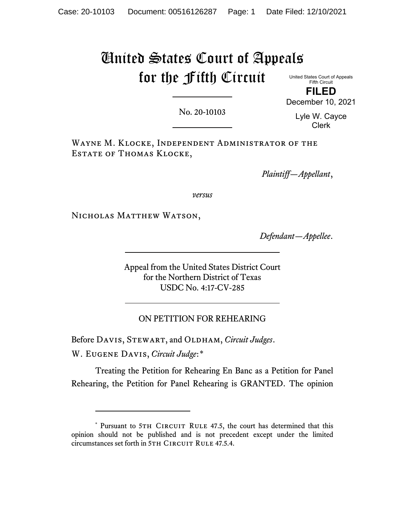# United States Court of Appeals for the Fifth Circuit

United States Court of Appeals Fifth Circuit **FILED**

No. 20-10103

Lyle W. Cayce Clerk

December 10, 2021

Wayne M. Klocke, Independent Administrator of the ESTATE OF THOMAS KLOCKE,

*Plaintiff—Appellant*,

*versus*

NICHOLAS MATTHEW WATSON,

*Defendant—Appellee*.

Appeal from the United States District Court for the Northern District of Texas USDC No. 4:17-CV-285

ON PETITION FOR REHEARING

Before DAVIS, STEWART, and OLDHAM, *Circuit Judges*.

W. Eugene Davis, *Circuit Judge*:[\\*](#page-0-0)

Treating the Petition for Rehearing En Banc as a Petition for Panel Rehearing, the Petition for Panel Rehearing is GRANTED. The opinion

<span id="page-0-0"></span><sup>\*</sup> Pursuant to 5TH CIRCUIT RULE 47.5, the court has determined that this opinion should not be published and is not precedent except under the limited circumstances set forth in 5TH CIRCUIT RULE 47.5.4.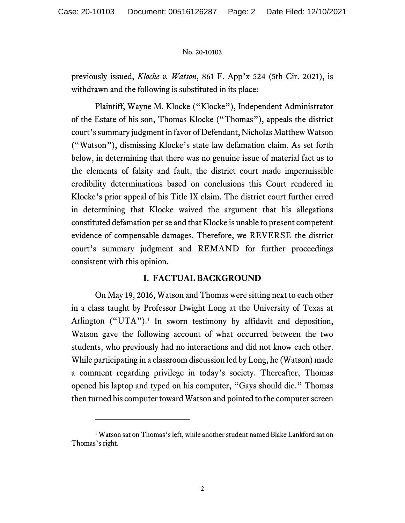previously issued, *Klocke v. Watson*, 861 F. App'x 524 (5th Cir. 2021), is withdrawn and the following is substituted in its place:

Plaintiff, Wayne M. Klocke ("Klocke"), Independent Administrator of the Estate of his son, Thomas Klocke ("Thomas"), appeals the district court's summary judgment in favor of Defendant, Nicholas Matthew Watson ("Watson"), dismissing Klocke's state law defamation claim. As set forth below, in determining that there was no genuine issue of material fact as to the elements of falsity and fault, the district court made impermissible credibility determinations based on conclusions this Court rendered in Klocke's prior appeal of his Title IX claim. The district court further erred in determining that Klocke waived the argument that his allegations constituted defamation per se and that Klocke is unable to present competent evidence of compensable damages. Therefore, we REVERSE the district court's summary judgment and REMAND for further proceedings consistent with this opinion.

# **I. FACTUAL BACKGROUND**

On May 19, 2016, Watson and Thomas were sitting next to each other in a class taught by Professor Dwight Long at the University of Texas at Arlington ("UTA"). [1](#page-1-0) In sworn testimony by affidavit and deposition, Watson gave the following account of what occurred between the two students, who previously had no interactions and did not know each other. While participating in a classroom discussion led by Long, he (Watson) made a comment regarding privilege in today's society. Thereafter, Thomas opened his laptop and typed on his computer, "Gays should die." Thomas then turned his computer toward Watson and pointed to the computer screen

<span id="page-1-0"></span><sup>&</sup>lt;sup>1</sup> Watson sat on Thomas's left, while another student named Blake Lankford sat on Thomas's right.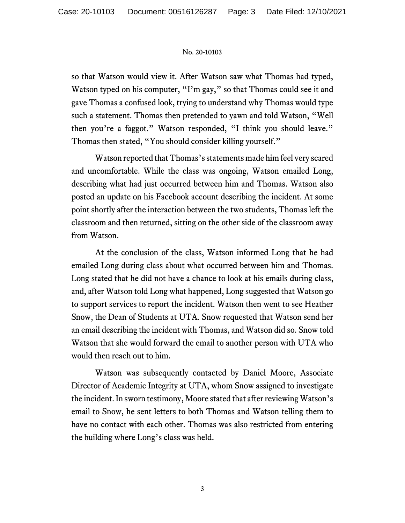so that Watson would view it. After Watson saw what Thomas had typed, Watson typed on his computer, "I'm gay," so that Thomas could see it and gave Thomas a confused look, trying to understand why Thomas would type such a statement. Thomas then pretended to yawn and told Watson, "Well then you're a faggot." Watson responded, "I think you should leave." Thomas then stated, "You should consider killing yourself."

Watson reported that Thomas's statements made him feel very scared and uncomfortable. While the class was ongoing, Watson emailed Long, describing what had just occurred between him and Thomas. Watson also posted an update on his Facebook account describing the incident. At some point shortly after the interaction between the two students, Thomas left the classroom and then returned, sitting on the other side of the classroom away from Watson.

At the conclusion of the class, Watson informed Long that he had emailed Long during class about what occurred between him and Thomas. Long stated that he did not have a chance to look at his emails during class, and, after Watson told Long what happened, Long suggested that Watson go to support services to report the incident. Watson then went to see Heather Snow, the Dean of Students at UTA. Snow requested that Watson send her an email describing the incident with Thomas, and Watson did so. Snow told Watson that she would forward the email to another person with UTA who would then reach out to him.

Watson was subsequently contacted by Daniel Moore, Associate Director of Academic Integrity at UTA, whom Snow assigned to investigate the incident. In sworn testimony, Moore stated that after reviewing Watson's email to Snow, he sent letters to both Thomas and Watson telling them to have no contact with each other. Thomas was also restricted from entering the building where Long's class was held.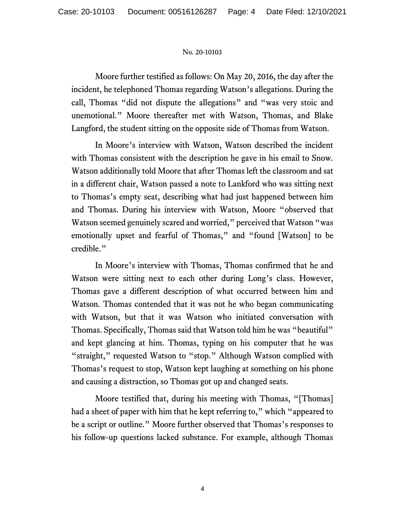Moore further testified as follows: On May 20, 2016, the day after the incident, he telephoned Thomas regarding Watson's allegations. During the call, Thomas "did not dispute the allegations" and "was very stoic and unemotional." Moore thereafter met with Watson, Thomas, and Blake Langford, the student sitting on the opposite side of Thomas from Watson.

In Moore's interview with Watson, Watson described the incident with Thomas consistent with the description he gave in his email to Snow. Watson additionally told Moore that after Thomas left the classroom and sat in a different chair, Watson passed a note to Lankford who was sitting next to Thomas's empty seat, describing what had just happened between him and Thomas. During his interview with Watson, Moore "observed that Watson seemed genuinely scared and worried," perceived that Watson "was emotionally upset and fearful of Thomas," and "found [Watson] to be credible."

In Moore's interview with Thomas, Thomas confirmed that he and Watson were sitting next to each other during Long's class. However, Thomas gave a different description of what occurred between him and Watson. Thomas contended that it was not he who began communicating with Watson, but that it was Watson who initiated conversation with Thomas. Specifically, Thomas said that Watson told him he was "beautiful" and kept glancing at him. Thomas, typing on his computer that he was "straight," requested Watson to "stop." Although Watson complied with Thomas's request to stop, Watson kept laughing at something on his phone and causing a distraction, so Thomas got up and changed seats.

Moore testified that, during his meeting with Thomas, "[Thomas] had a sheet of paper with him that he kept referring to," which "appeared to be a script or outline." Moore further observed that Thomas's responses to his follow-up questions lacked substance. For example, although Thomas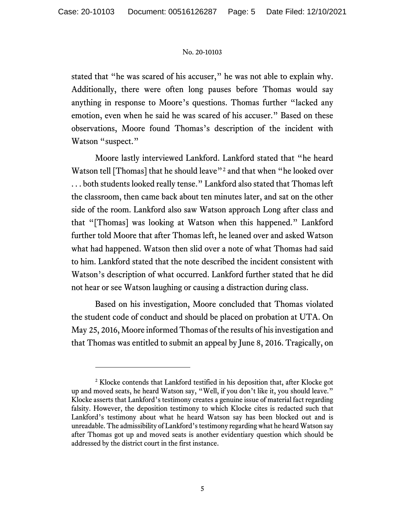stated that "he was scared of his accuser," he was not able to explain why. Additionally, there were often long pauses before Thomas would say anything in response to Moore's questions. Thomas further "lacked any emotion, even when he said he was scared of his accuser." Based on these observations, Moore found Thomas's description of the incident with Watson "suspect."

Moore lastly interviewed Lankford. Lankford stated that "he heard Watson tell [Thomas] that he should leave"<sup>[2](#page-4-0)</sup> and that when "he looked over . . . both students looked really tense." Lankford also stated that Thomas left the classroom, then came back about ten minutes later, and sat on the other side of the room. Lankford also saw Watson approach Long after class and that "[Thomas] was looking at Watson when this happened." Lankford further told Moore that after Thomas left, he leaned over and asked Watson what had happened. Watson then slid over a note of what Thomas had said to him. Lankford stated that the note described the incident consistent with Watson's description of what occurred. Lankford further stated that he did not hear or see Watson laughing or causing a distraction during class.

Based on his investigation, Moore concluded that Thomas violated the student code of conduct and should be placed on probation at UTA. On May 25, 2016, Moore informed Thomas of the results of his investigation and that Thomas was entitled to submit an appeal by June 8, 2016. Tragically, on

<span id="page-4-0"></span><sup>&</sup>lt;sup>2</sup> Klocke contends that Lankford testified in his deposition that, after Klocke got up and moved seats, he heard Watson say, "Well, if you don't like it, you should leave." Klocke asserts that Lankford's testimony creates a genuine issue of material fact regarding falsity. However, the deposition testimony to which Klocke cites is redacted such that Lankford's testimony about what he heard Watson say has been blocked out and is unreadable. The admissibility of Lankford's testimony regarding what he heard Watson say after Thomas got up and moved seats is another evidentiary question which should be addressed by the district court in the first instance.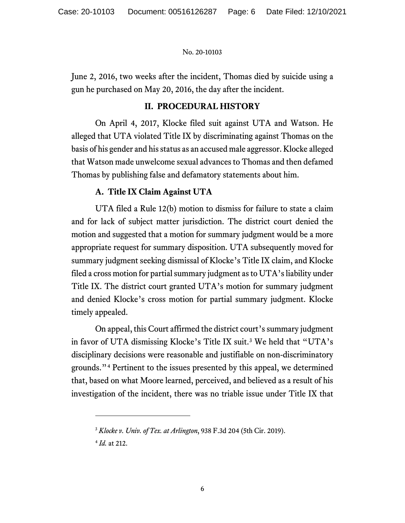June 2, 2016, two weeks after the incident, Thomas died by suicide using a gun he purchased on May 20, 2016, the day after the incident.

# **II. PROCEDURAL HISTORY**

On April 4, 2017, Klocke filed suit against UTA and Watson. He alleged that UTA violated Title IX by discriminating against Thomas on the basis of his gender and his status as an accused male aggressor. Klocke alleged that Watson made unwelcome sexual advances to Thomas and then defamed Thomas by publishing false and defamatory statements about him.

# **A. Title IX Claim Against UTA**

UTA filed a Rule 12(b) motion to dismiss for failure to state a claim and for lack of subject matter jurisdiction. The district court denied the motion and suggested that a motion for summary judgment would be a more appropriate request for summary disposition. UTA subsequently moved for summary judgment seeking dismissal of Klocke's Title IX claim, and Klocke filed a cross motion for partial summary judgment as to UTA's liability under Title IX. The district court granted UTA's motion for summary judgment and denied Klocke's cross motion for partial summary judgment. Klocke timely appealed.

On appeal, this Court affirmed the district court's summary judgment in favor of UTA dismissing Klocke's Title IX suit. [3](#page-5-0) We held that "UTA's disciplinary decisions were reasonable and justifiable on non-discriminatory grounds."[4](#page-5-1) Pertinent to the issues presented by this appeal, we determined that, based on what Moore learned, perceived, and believed as a result of his investigation of the incident, there was no triable issue under Title IX that

<sup>3</sup> *Klocke v. Univ. of Tex. at Arlington*, 938 F.3d 204 (5th Cir. 2019).

<span id="page-5-1"></span><span id="page-5-0"></span><sup>4</sup> *Id.* at 212.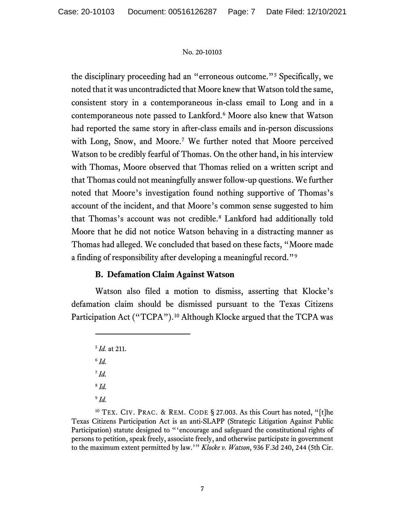the disciplinary proceeding had an "erroneous outcome."[5](#page-6-0) Specifically, we noted that itwas uncontradicted that Moore knew that Watson told the same, consistent story in a contemporaneous in-class email to Long and in a contemporaneous note passed to Lankford. [6](#page-6-1) Moore also knew that Watson had reported the same story in after-class emails and in-person discussions with Long, Snow, and Moore.[7](#page-6-2) We further noted that Moore perceived Watson to be credibly fearful of Thomas. On the other hand, in his interview with Thomas, Moore observed that Thomas relied on a written script and that Thomas could not meaningfully answer follow-up questions. We further noted that Moore's investigation found nothing supportive of Thomas's account of the incident, and that Moore's common sense suggested to him that Thomas's account was not credible[.8](#page-6-3) Lankford had additionally told Moore that he did not notice Watson behaving in a distracting manner as Thomas had alleged. We concluded that based on these facts, "Moore made a finding of responsibility after developing a meaningful record."[9](#page-6-4)

# **B. Defamation Claim Against Watson**

<span id="page-6-0"></span>Watson also filed a motion to dismiss, asserting that Klocke's defamation claim should be dismissed pursuant to the Texas Citizens Participation Act ("TCPA").<sup>[10](#page-6-5)</sup> Although Klocke argued that the TCPA was

<span id="page-6-5"></span><span id="page-6-4"></span><span id="page-6-3"></span><span id="page-6-2"></span><span id="page-6-1"></span><sup>10</sup> TEX. CIV. PRAC. & REM. CODE § 27.003. As this Court has noted, "[t]he Texas Citizens Participation Act is an anti-SLAPP (Strategic Litigation Against Public Participation) statute designed to "'encourage and safeguard the constitutional rights of persons to petition, speak freely, associate freely, and otherwise participate in government to the maximum extent permitted by law.'" *Klocke v. Watson*, 936 F.3d 240, 244 (5th Cir.

<sup>5</sup> *Id.* at 211. <sup>6</sup> *Id.* <sup>7</sup> *Id.* <sup>8</sup> *Id.* <sup>9</sup> *Id.*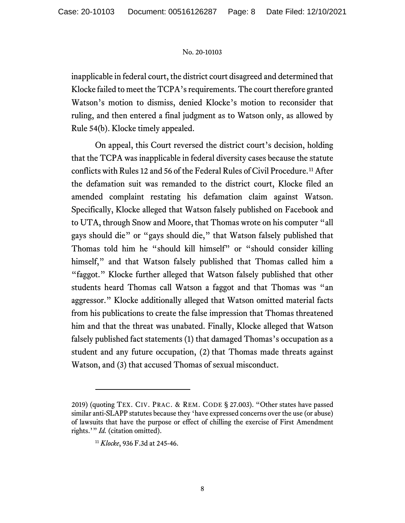inapplicable in federal court, the district court disagreed and determined that Klocke failed to meet the TCPA's requirements. The court therefore granted Watson's motion to dismiss, denied Klocke's motion to reconsider that ruling, and then entered a final judgment as to Watson only, as allowed by Rule 54(b). Klocke timely appealed.

On appeal, this Court reversed the district court's decision, holding that the TCPA was inapplicable in federal diversity cases because the statute conflicts with Rules 12 and 56 of the Federal Rules of Civil Procedure.<sup>[11](#page-7-0)</sup> After the defamation suit was remanded to the district court, Klocke filed an amended complaint restating his defamation claim against Watson. Specifically, Klocke alleged that Watson falsely published on Facebook and to UTA, through Snow and Moore, that Thomas wrote on his computer "all gays should die" or "gays should die," that Watson falsely published that Thomas told him he "should kill himself" or "should consider killing himself," and that Watson falsely published that Thomas called him a "faggot." Klocke further alleged that Watson falsely published that other students heard Thomas call Watson a faggot and that Thomas was "an aggressor." Klocke additionally alleged that Watson omitted material facts from his publications to create the false impression that Thomas threatened him and that the threat was unabated. Finally, Klocke alleged that Watson falsely published fact statements (1) that damaged Thomas's occupation as a student and any future occupation, (2) that Thomas made threats against Watson, and (3) that accused Thomas of sexual misconduct.

<span id="page-7-0"></span><sup>2019) (</sup>quoting TEX. CIV. PRAC. & REM. CODE § 27.003). "Other states have passed similar anti-SLAPP statutes because they 'have expressed concerns over the use (or abuse) of lawsuits that have the purpose or effect of chilling the exercise of First Amendment rights.'" *Id.* (citation omitted).

<sup>11</sup> *Klocke*, 936 F.3d at 245-46.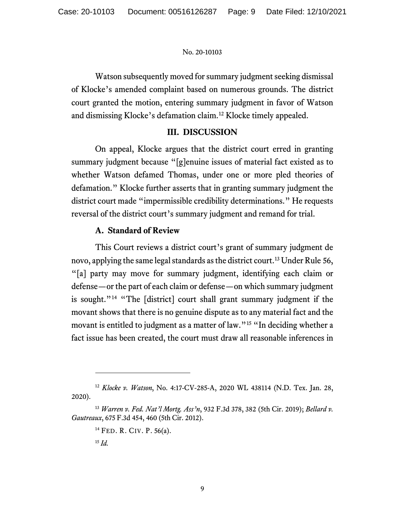Watson subsequently moved for summary judgment seeking dismissal of Klocke's amended complaint based on numerous grounds. The district court granted the motion, entering summary judgment in favor of Watson and dismissing Klocke's defamation claim.[12](#page-8-0) Klocke timely appealed.

# **III. DISCUSSION**

On appeal, Klocke argues that the district court erred in granting summary judgment because "[g]enuine issues of material fact existed as to whether Watson defamed Thomas, under one or more pled theories of defamation." Klocke further asserts that in granting summary judgment the district court made "impermissible credibility determinations." He requests reversal of the district court's summary judgment and remand for trial.

# **A. Standard of Review**

This Court reviews a district court's grant of summary judgment de novo, applying the same legal standards as the district court.[13](#page-8-1) Under Rule 56, "[a] party may move for summary judgment, identifying each claim or defense—or the part of each claim or defense—on which summary judgment is sought."<sup>[14](#page-8-2)</sup> "The [district] court shall grant summary judgment if the movant shows that there is no genuine dispute as to any material fact and the movant is entitled to judgment as a matter of law."<sup>[15](#page-8-3)</sup> "In deciding whether a fact issue has been created, the court must draw all reasonable inferences in

<span id="page-8-0"></span><sup>12</sup> *Klocke v. Watson*, No. 4:17-CV-285-A, 2020 WL 438114 (N.D. Tex. Jan. 28, 2020).

<span id="page-8-3"></span><span id="page-8-2"></span><span id="page-8-1"></span><sup>13</sup> *Warren v. Fed. Nat'l Mortg. Ass'n*, 932 F.3d 378, 382 (5th Cir. 2019); *Bellard v. Gautreaux*, 675 F.3d 454, 460 (5th Cir. 2012).

<sup>14</sup> FED. R. CIV. P. 56(a).

<sup>15</sup> *Id.*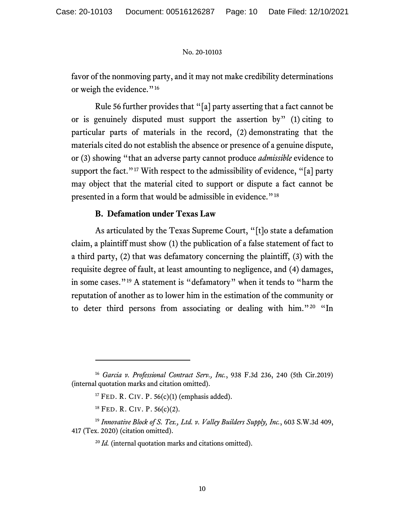favor of the nonmoving party, and it may not make credibility determinations or weigh the evidence."<sup>[16](#page-9-0)</sup>

Rule 56 further provides that "[a] party asserting that a fact cannot be or is genuinely disputed must support the assertion by" (1) citing to particular parts of materials in the record, (2) demonstrating that the materials cited do not establish the absence or presence of a genuine dispute, or (3) showing "that an adverse party cannot produce *admissible* evidence to support the fact."<sup>[17](#page-9-1)</sup> With respect to the admissibility of evidence, "[a] party may object that the material cited to support or dispute a fact cannot be presented in a form that would be admissible in evidence."<sup>[18](#page-9-2)</sup>

# **B. Defamation under Texas Law**

As articulated by the Texas Supreme Court, "[t]o state a defamation claim, a plaintiff must show (1) the publication of a false statement of fact to a third party, (2) that was defamatory concerning the plaintiff, (3) with the requisite degree of fault, at least amounting to negligence, and (4) damages, in some cases."[19](#page-9-3) A statement is "defamatory" when it tends to "harm the reputation of another as to lower him in the estimation of the community or to deter third persons from associating or dealing with him."[20](#page-9-4) "In

<span id="page-9-1"></span><span id="page-9-0"></span><sup>16</sup> *Garcia v. Professional Contract Serv., Inc.*, 938 F.3d 236, 240 (5th Cir.2019) (internal quotation marks and citation omitted).

<sup>&</sup>lt;sup>17</sup> FED. R. CIV. P.  $56(c)(1)$  (emphasis added).

 $^{18}$  FED. R. CIV. P. 56(c)(2).

<span id="page-9-4"></span><span id="page-9-3"></span><span id="page-9-2"></span><sup>19</sup> *Innovative Block of S. Tex., Ltd. v. Valley Builders Supply, Inc.*, 603 S.W.3d 409, 417 (Tex. 2020) (citation omitted).

<sup>20</sup> *Id.* (internal quotation marks and citations omitted).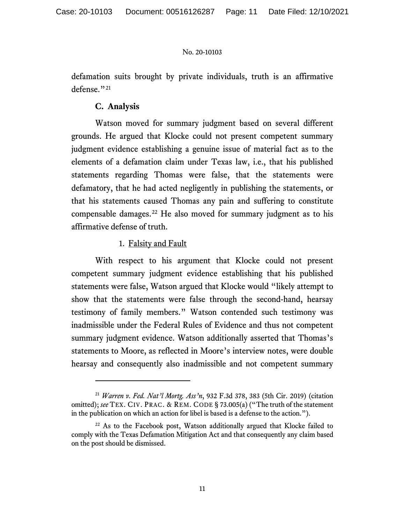defamation suits brought by private individuals, truth is an affirmative defense."<sup>[21](#page-10-0)</sup>

# **C. Analysis**

Watson moved for summary judgment based on several different grounds. He argued that Klocke could not present competent summary judgment evidence establishing a genuine issue of material fact as to the elements of a defamation claim under Texas law, i.e., that his published statements regarding Thomas were false, that the statements were defamatory, that he had acted negligently in publishing the statements, or that his statements caused Thomas any pain and suffering to constitute compensable damages.<sup>[22](#page-10-1)</sup> He also moved for summary judgment as to his affirmative defense of truth.

# 1. Falsity and Fault

With respect to his argument that Klocke could not present competent summary judgment evidence establishing that his published statements were false, Watson argued that Klocke would "likely attempt to show that the statements were false through the second-hand, hearsay testimony of family members." Watson contended such testimony was inadmissible under the Federal Rules of Evidence and thus not competent summary judgment evidence. Watson additionally asserted that Thomas's statements to Moore, as reflected in Moore's interview notes, were double hearsay and consequently also inadmissible and not competent summary

<span id="page-10-0"></span><sup>21</sup> *Warren v. Fed. Nat'l Mortg. Ass'n*, 932 F.3d 378, 383 (5th Cir. 2019) (citation omitted); *see* TEX. CIV. PRAC. & REM. CODE § 73.005(a) ("The truth of the statement in the publication on which an action for libel is based is a defense to the action.").

<span id="page-10-1"></span> $22$  As to the Facebook post, Watson additionally argued that Klocke failed to comply with the Texas Defamation Mitigation Act and that consequently any claim based on the post should be dismissed.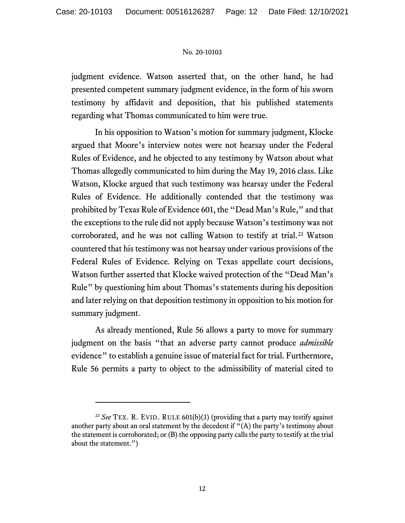judgment evidence. Watson asserted that, on the other hand, he had presented competent summary judgment evidence, in the form of his sworn testimony by affidavit and deposition, that his published statements regarding what Thomas communicated to him were true.

In his opposition to Watson's motion for summary judgment, Klocke argued that Moore's interview notes were not hearsay under the Federal Rules of Evidence, and he objected to any testimony by Watson about what Thomas allegedly communicated to him during the May 19, 2016 class. Like Watson, Klocke argued that such testimony was hearsay under the Federal Rules of Evidence. He additionally contended that the testimony was prohibited by Texas Rule of Evidence 601, the "Dead Man's Rule," and that the exceptions to the rule did not apply because Watson's testimony was not corroborated, and he was not calling Watson to testify at trial.<sup>23</sup> Watson countered that his testimony was not hearsay under various provisions of the Federal Rules of Evidence. Relying on Texas appellate court decisions, Watson further asserted that Klocke waived protection of the "Dead Man's Rule" by questioning him about Thomas's statements during his deposition and later relying on that deposition testimony in opposition to his motion for summary judgment.

As already mentioned, Rule 56 allows a party to move for summary judgment on the basis "that an adverse party cannot produce *admissible* evidence" to establish a genuine issue of material fact for trial. Furthermore, Rule 56 permits a party to object to the admissibility of material cited to

<span id="page-11-0"></span><sup>&</sup>lt;sup>23</sup> *See* TEX. R. EVID. RULE 601(b)(3) (providing that a party may testify against another party about an oral statement by the decedent if  $"$ (A) the party's testimony about the statement is corroborated; or (B) the opposing party calls the party to testify at the trial about the statement.")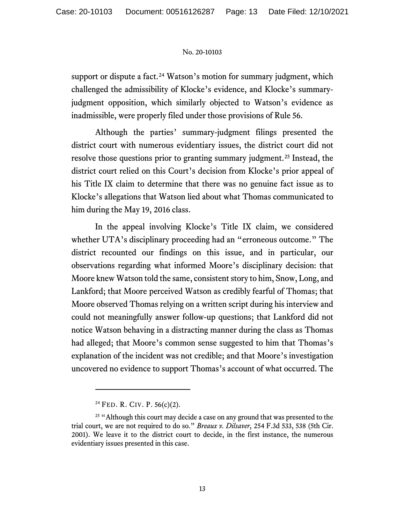support or dispute a fact.<sup>[24](#page-12-0)</sup> Watson's motion for summary judgment, which challenged the admissibility of Klocke's evidence, and Klocke's summaryjudgment opposition, which similarly objected to Watson's evidence as inadmissible, were properly filed under those provisions of Rule 56.

Although the parties' summary-judgment filings presented the district court with numerous evidentiary issues, the district court did not resolve those questions prior to granting summary judgment.<sup>[25](#page-12-1)</sup> Instead, the district court relied on this Court's decision from Klocke's prior appeal of his Title IX claim to determine that there was no genuine fact issue as to Klocke's allegations that Watson lied about what Thomas communicated to him during the May 19, 2016 class.

In the appeal involving Klocke's Title IX claim, we considered whether UTA's disciplinary proceeding had an "erroneous outcome." The district recounted our findings on this issue, and in particular, our observations regarding what informed Moore's disciplinary decision: that Moore knew Watson told the same, consistent story to him, Snow, Long, and Lankford; that Moore perceived Watson as credibly fearful of Thomas; that Moore observed Thomas relying on a written script during his interview and could not meaningfully answer follow-up questions; that Lankford did not notice Watson behaving in a distracting manner during the class as Thomas had alleged; that Moore's common sense suggested to him that Thomas's explanation of the incident was not credible; and that Moore's investigation uncovered no evidence to support Thomas's account of what occurred. The

<sup>24</sup> FED. R. CIV. P. 56(c)(2).

<span id="page-12-1"></span><span id="page-12-0"></span><sup>&</sup>lt;sup>25</sup> "Although this court may decide a case on any ground that was presented to the trial court, we are not required to do so." *Breaux v. Dilsaver*, 254 F.3d 533, 538 (5th Cir. 2001). We leave it to the district court to decide, in the first instance, the numerous evidentiary issues presented in this case.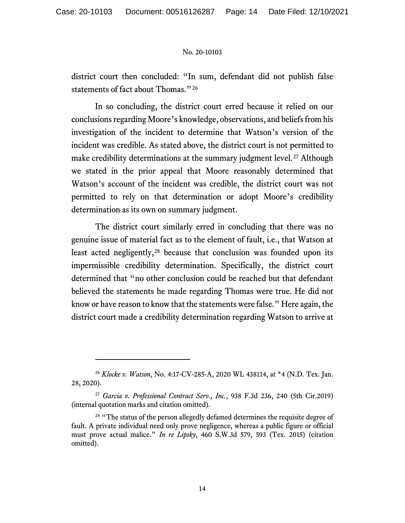district court then concluded: "In sum, defendant did not publish false statements of fact about Thomas."<sup>[26](#page-13-0)</sup>

In so concluding, the district court erred because it relied on our conclusions regarding Moore's knowledge, observations, and beliefs from his investigation of the incident to determine that Watson's version of the incident was credible. As stated above, the district court is not permitted to make credibility determinations at the summary judgment level.<sup>[27](#page-13-1)</sup> Although we stated in the prior appeal that Moore reasonably determined that Watson's account of the incident was credible, the district court was not permitted to rely on that determination or adopt Moore's credibility determination as its own on summary judgment.

The district court similarly erred in concluding that there was no genuine issue of material fact as to the element of fault, i.e., that Watson at least acted negligently,<sup>[28](#page-13-2)</sup> because that conclusion was founded upon its impermissible credibility determination. Specifically, the district court determined that "no other conclusion could be reached but that defendant believed the statements he made regarding Thomas were true. He did not know or have reason to know that the statements were false." Here again, the district court made a credibility determination regarding Watson to arrive at

<span id="page-13-0"></span><sup>26</sup> *Klocke v. Watson*, No. 4:17-CV-285-A, 2020 WL 438114, at \*4 (N.D. Tex. Jan. 28, 2020).

<span id="page-13-1"></span><sup>27</sup> *Garcia v. Professional Contract Serv., Inc.*, 938 F.3d 236, 240 (5th Cir.2019) (internal quotation marks and citation omitted).

<span id="page-13-2"></span><sup>&</sup>lt;sup>28</sup> "The status of the person allegedly defamed determines the requisite degree of fault. A private individual need only prove negligence, whereas a public figure or official must prove actual malice." *In re Lipsky*, 460 S.W.3d 579, 593 (Tex. 2015) (citation omitted).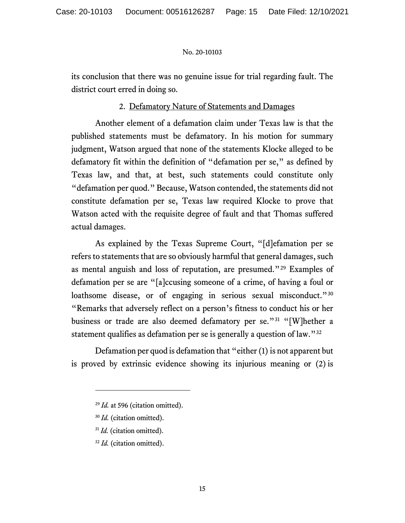its conclusion that there was no genuine issue for trial regarding fault. The district court erred in doing so.

# 2. Defamatory Nature of Statements and Damages

Another element of a defamation claim under Texas law is that the published statements must be defamatory. In his motion for summary judgment, Watson argued that none of the statements Klocke alleged to be defamatory fit within the definition of "defamation per se," as defined by Texas law, and that, at best, such statements could constitute only "defamation per quod." Because, Watson contended, the statements did not constitute defamation per se, Texas law required Klocke to prove that Watson acted with the requisite degree of fault and that Thomas suffered actual damages.

As explained by the Texas Supreme Court, "[d]efamation per se refers to statements that are so obviously harmful that general damages, such as mental anguish and loss of reputation, are presumed."[29](#page-14-0) Examples of defamation per se are "[a]ccusing someone of a crime, of having a foul or loathsome disease, or of engaging in serious sexual misconduct."<sup>[30](#page-14-1)</sup> "Remarks that adversely reflect on a person's fitness to conduct his or her business or trade are also deemed defamatory per se."<sup>[31](#page-14-2)</sup> "[W]hether a statement qualifies as defamation per se is generally a question of law."[32](#page-14-3)

<span id="page-14-0"></span>Defamation per quod is defamation that "either (1) is not apparent but is proved by extrinsic evidence showing its injurious meaning or (2) is

- <span id="page-14-2"></span><sup>31</sup> *Id.* (citation omitted).
- <span id="page-14-3"></span><sup>32</sup> *Id.* (citation omitted).

<sup>29</sup> *Id.* at 596 (citation omitted).

<span id="page-14-1"></span><sup>30</sup> *Id.* (citation omitted).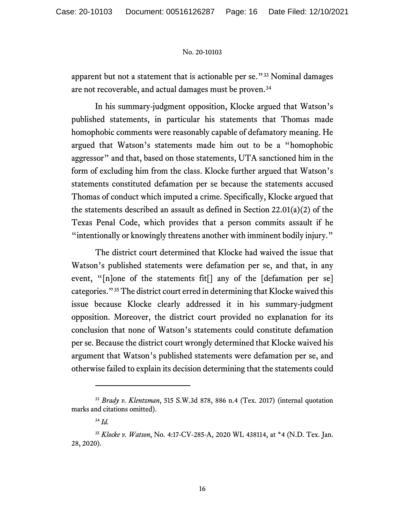apparent but not a statement that is actionable per se."[33](#page-15-0) Nominal damages are not recoverable, and actual damages must be proven.[34](#page-15-1)

In his summary-judgment opposition, Klocke argued that Watson's published statements, in particular his statements that Thomas made homophobic comments were reasonably capable of defamatory meaning. He argued that Watson's statements made him out to be a "homophobic aggressor" and that, based on those statements, UTA sanctioned him in the form of excluding him from the class. Klocke further argued that Watson's statements constituted defamation per se because the statements accused Thomas of conduct which imputed a crime. Specifically, Klocke argued that the statements described an assault as defined in Section 22.01(a)(2) of the Texas Penal Code, which provides that a person commits assault if he "intentionally or knowingly threatens another with imminent bodily injury."

The district court determined that Klocke had waived the issue that Watson's published statements were defamation per se, and that, in any event, "[n]one of the statements fit[] any of the [defamation per se] categories."[35](#page-15-2) The district court erred in determining that Klocke waived this issue because Klocke clearly addressed it in his summary-judgment opposition. Moreover, the district court provided no explanation for its conclusion that none of Watson's statements could constitute defamation per se. Because the district court wrongly determined that Klocke waived his argument that Watson's published statements were defamation per se, and otherwise failed to explain its decision determining that the statements could

<span id="page-15-0"></span><sup>33</sup> *Brady v. Klentzman*, 515 S.W.3d 878, 886 n.4 (Tex. 2017) (internal quotation marks and citations omitted).

<sup>34</sup> *Id.*

<span id="page-15-2"></span><span id="page-15-1"></span><sup>35</sup> *Klocke v. Watson*, No. 4:17-CV-285-A, 2020 WL 438114, at \*4 (N.D. Tex. Jan. 28, 2020).